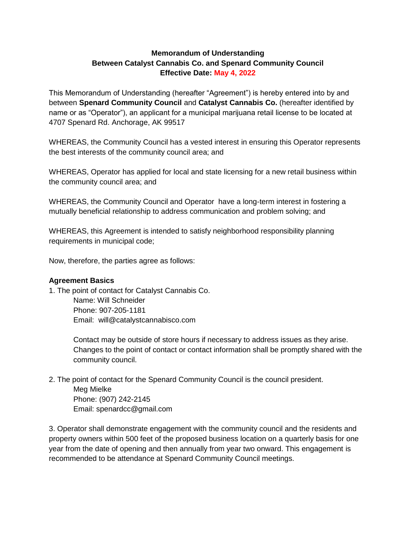## **Memorandum of Understanding Between Catalyst Cannabis Co. and Spenard Community Council Effective Date: May 4, 2022**

This Memorandum of Understanding (hereafter "Agreement") is hereby entered into by and between **Spenard Community Council** and **Catalyst Cannabis Co.** (hereafter identified by name or as "Operator"), an applicant for a municipal marijuana retail license to be located at 4707 Spenard Rd. Anchorage, AK 99517

WHEREAS, the Community Council has a vested interest in ensuring this Operator represents the best interests of the community council area; and

WHEREAS, Operator has applied for local and state licensing for a new retail business within the community council area; and

WHEREAS, the Community Council and Operator have a long-term interest in fostering a mutually beneficial relationship to address communication and problem solving; and

WHEREAS, this Agreement is intended to satisfy neighborhood responsibility planning requirements in municipal code;

Now, therefore, the parties agree as follows:

## **Agreement Basics**

1. The point of contact for Catalyst Cannabis Co.

Name: Will Schneider Phone: 907-205-1181 Email: will@catalystcannabisco.com

Contact may be outside of store hours if necessary to address issues as they arise. Changes to the point of contact or contact information shall be promptly shared with the community council.

2. The point of contact for the Spenard Community Council is the council president.

Meg Mielke

Phone: (907) 242-2145 Email: spenardcc@gmail.com

3. Operator shall demonstrate engagement with the community council and the residents and property owners within 500 feet of the proposed business location on a quarterly basis for one year from the date of opening and then annually from year two onward. This engagement is recommended to be attendance at Spenard Community Council meetings.